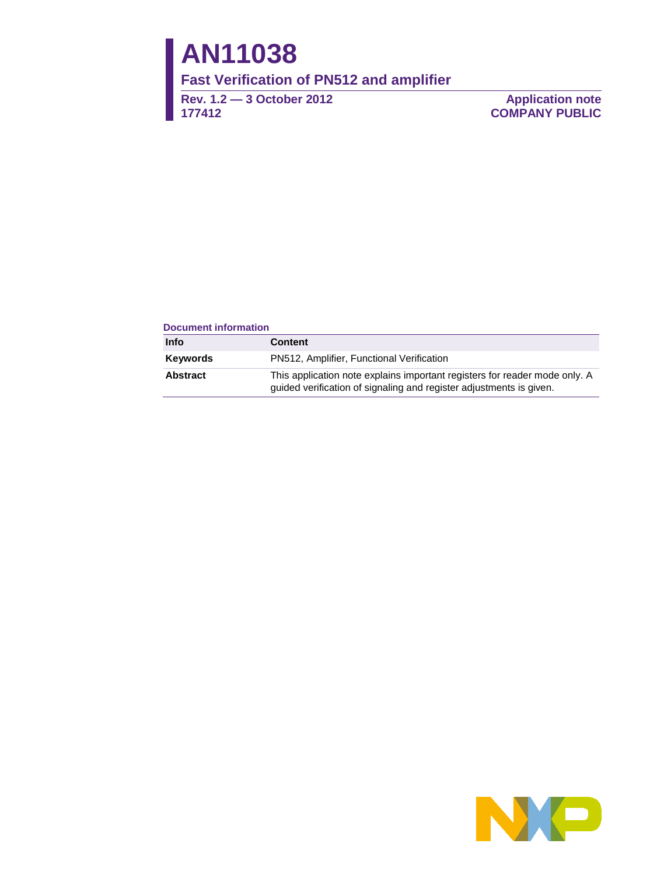# **AN11038**

**Fast Verification of PN512 and amplifier** 

**Rev. 1.2 — 3 October 2012 177412**

**Application note COMPANY PUBLIC**

#### **Document information**

| Info            | <b>Content</b>                                                                                                                                    |
|-----------------|---------------------------------------------------------------------------------------------------------------------------------------------------|
| <b>Keywords</b> | PN512, Amplifier, Functional Verification                                                                                                         |
| <b>Abstract</b> | This application note explains important registers for reader mode only. A<br>guided verification of signaling and register adjustments is given. |

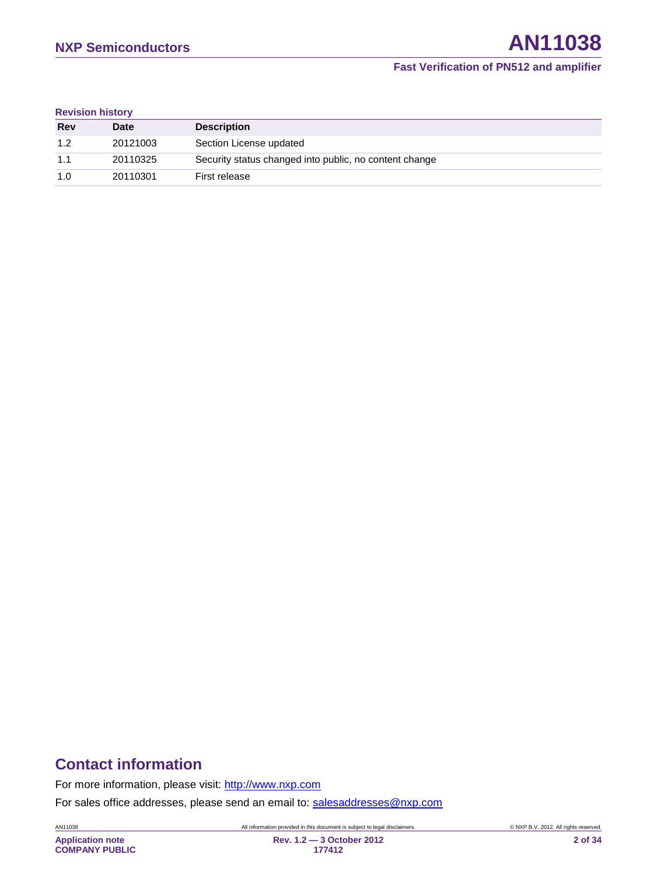#### **Revision history**

| Rev | <b>Date</b> | <b>Description</b>                                     |
|-----|-------------|--------------------------------------------------------|
| 1.2 | 20121003    | Section License updated                                |
| 1.1 | 20110325    | Security status changed into public, no content change |
| 1.0 | 20110301    | First release                                          |

# **Contact information**

For more information, please visit: [http://www.nxp.com](http://www.nxp.com/)

For sales office addresses, please send an email to: [salesaddresses@nxp.com](mailto:salesaddresses@nxp.com)

AN11038 All information provided in this document is subject to legal disclaimers. © NXP B.V. 2012. All rights reserved.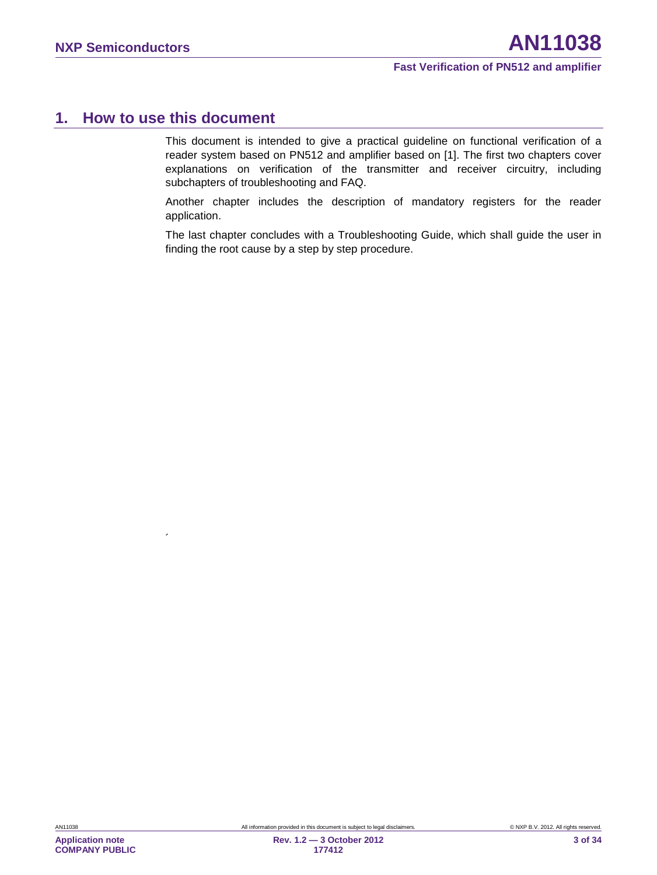# <span id="page-2-0"></span>**1. How to use this document**

 $\ddot{\phantom{a}}$ 

This document is intended to give a practical guideline on functional verification of a reader system based on PN512 and amplifier based on [\[1\].](#page-31-0) The first two chapters cover explanations on verification of the transmitter and receiver circuitry, including subchapters of troubleshooting and FAQ.

Another chapter includes the description of mandatory registers for the reader application.

The last chapter concludes with a Troubleshooting Guide, which shall guide the user in finding the root cause by a step by step procedure.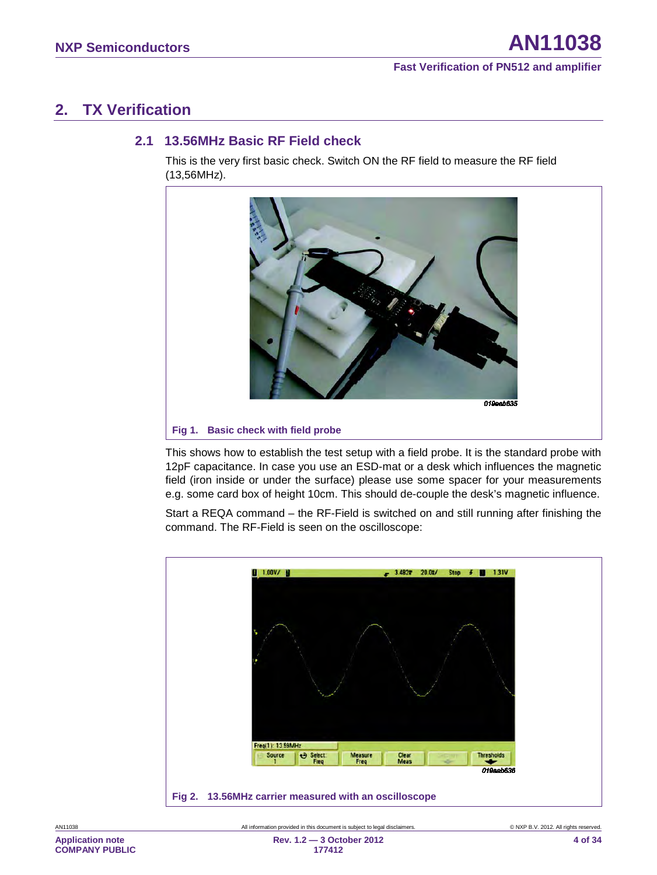# <span id="page-3-0"></span>**2. TX Verification**

#### **2.1 13.56MHz Basic RF Field check**

<span id="page-3-1"></span>This is the very first basic check. Switch ON the RF field to measure the RF field (13,56MHz).



This shows how to establish the test setup with a field probe. It is the standard probe with 12pF capacitance. In case you use an ESD-mat or a desk which influences the magnetic field (iron inside or under the surface) please use some spacer for your measurements e.g. some card box of height 10cm. This should de-couple the desk's magnetic influence.

Start a REQA command – the RF-Field is switched on and still running after finishing the command. The RF-Field is seen on the oscilloscope:

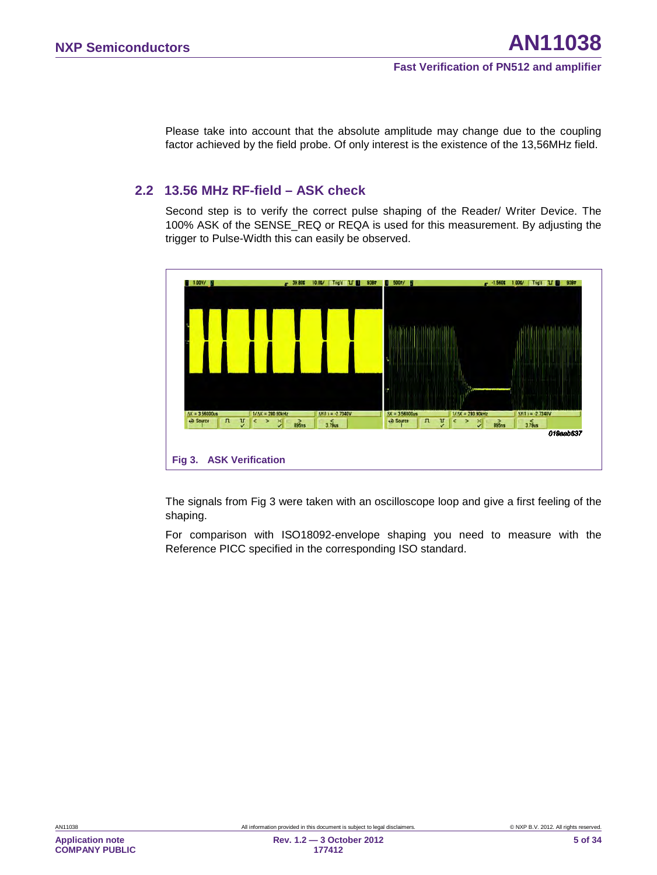Please take into account that the absolute amplitude may change due to the coupling factor achieved by the field probe. Of only interest is the existence of the 13,56MHz field.

#### <span id="page-4-1"></span>**2.2 13.56 MHz RF-field – ASK check**

Second step is to verify the correct pulse shaping of the Reader/ Writer Device. The 100% ASK of the SENSE\_REQ or REQA is used for this measurement. By adjusting the trigger to Pulse-Width this can easily be observed.



<span id="page-4-0"></span>The signals from [Fig 3](#page-4-0) were taken with an oscilloscope loop and give a first feeling of the shaping.

For comparison with ISO18092-envelope shaping you need to measure with the Reference PICC specified in the corresponding ISO standard.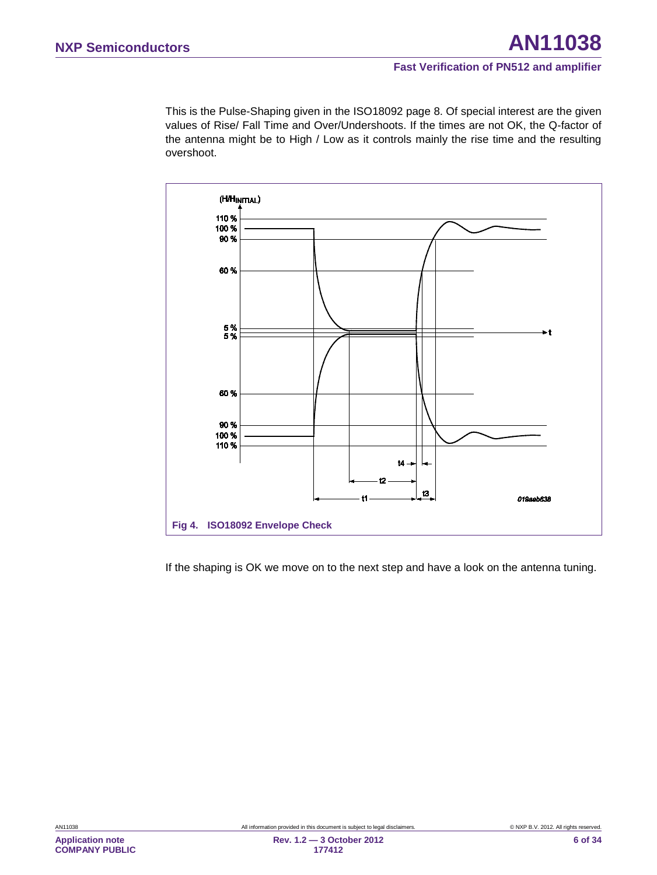This is the Pulse-Shaping given in the ISO18092 page 8. Of special interest are the given values of Rise/ Fall Time and Over/Undershoots. If the times are not OK, the Q-factor of the antenna might be to High / Low as it controls mainly the rise time and the resulting overshoot.



If the shaping is OK we move on to the next step and have a look on the antenna tuning.

**Application note COMPANY PUBLIC**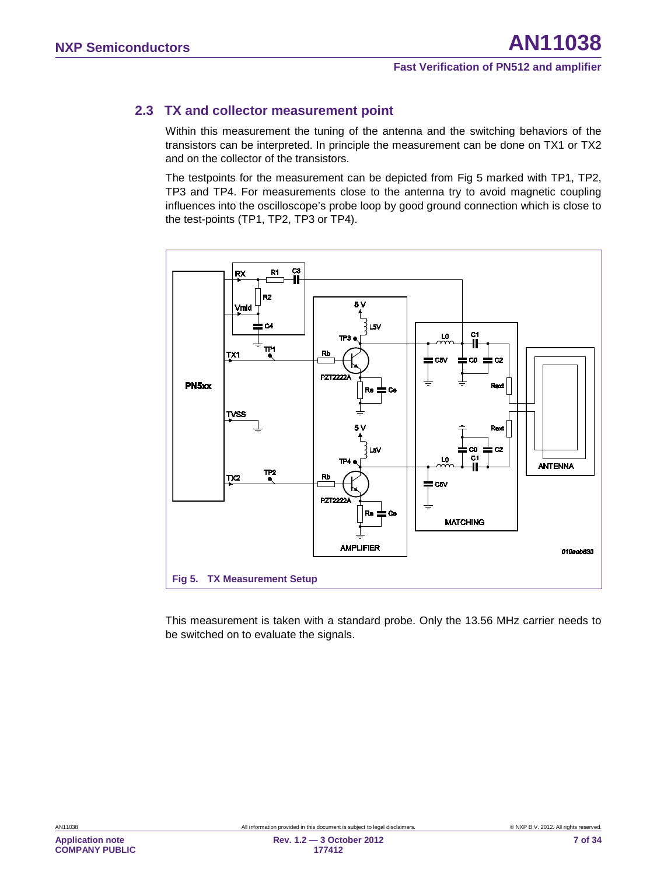# **2.3 TX and collector measurement point**

<span id="page-6-1"></span>Within this measurement the tuning of the antenna and the switching behaviors of the transistors can be interpreted. In principle the measurement can be done on TX1 or TX2 and on the collector of the transistors.

The testpoints for the measurement can be depicted from [Fig 5](#page-6-0) marked with TP1, TP2, TP3 and TP4. For measurements close to the antenna try to avoid magnetic coupling influences into the oscilloscope's probe loop by good ground connection which is close to the test-points (TP1, TP2, TP3 or TP4).



<span id="page-6-0"></span>This measurement is taken with a standard probe. Only the 13.56 MHz carrier needs to be switched on to evaluate the signals.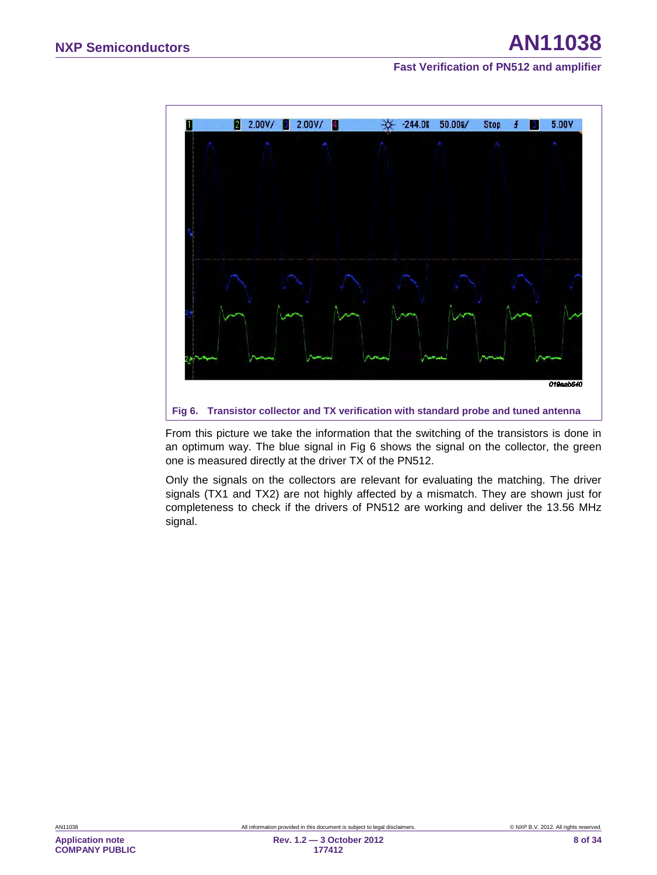

<span id="page-7-0"></span>From this picture we take the information that the switching of the transistors is done in an optimum way. The blue signal in [Fig 6](#page-7-0) shows the signal on the collector, the green one is measured directly at the driver TX of the PN512.

Only the signals on the collectors are relevant for evaluating the matching. The driver signals (TX1 and TX2) are not highly affected by a mismatch. They are shown just for completeness to check if the drivers of PN512 are working and deliver the 13.56 MHz signal.

**Application note COMPANY PUBLIC**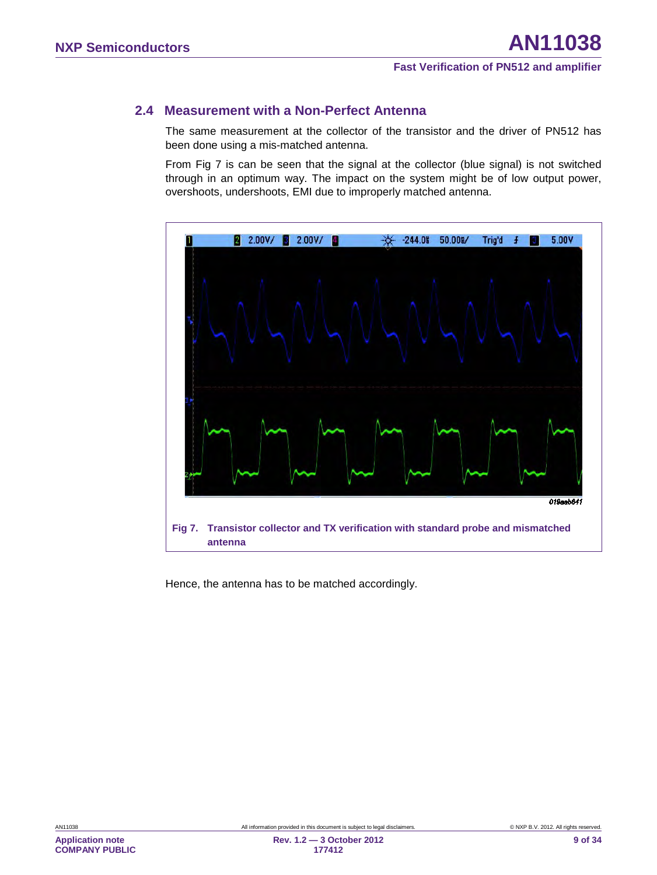#### **2.4 Measurement with a Non-Perfect Antenna**

<span id="page-8-1"></span>The same measurement at the collector of the transistor and the driver of PN512 has been done using a mis-matched antenna.

From [Fig 7](#page-8-0) is can be seen that the signal at the collector (blue signal) is not switched through in an optimum way. The impact on the system might be of low output power, overshoots, undershoots, EMI due to improperly matched antenna.



<span id="page-8-0"></span>Hence, the antenna has to be matched accordingly.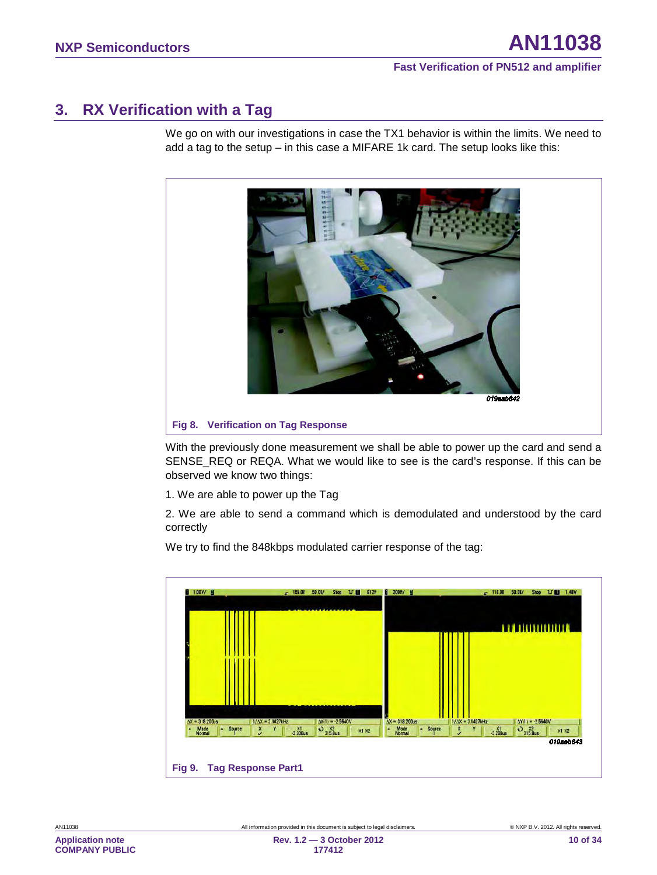# <span id="page-9-0"></span>**3. RX Verification with a Tag**

We go on with our investigations in case the TX1 behavior is within the limits. We need to add a tag to the setup – in this case a MIFARE 1k card. The setup looks like this:



With the previously done measurement we shall be able to power up the card and send a SENSE\_REQ or REQA. What we would like to see is the card's response. If this can be observed we know two things:

1. We are able to power up the Tag

2. We are able to send a command which is demodulated and understood by the card correctly

We try to find the 848kbps modulated carrier response of the tag:

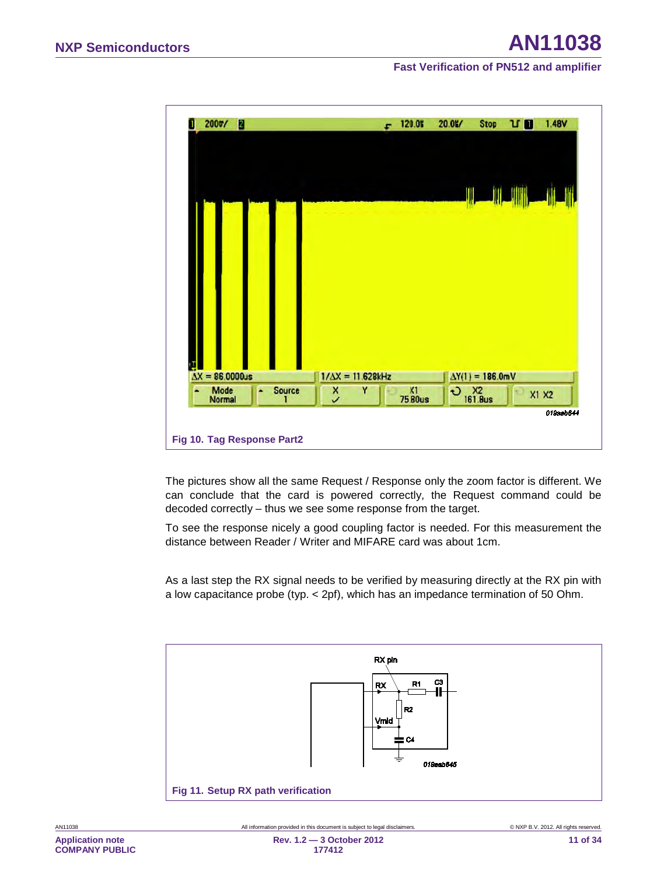| 2007/<br>П<br>П              | $-120.05$                | 1.48V<br>20.0<br><b>Stop</b><br>νū                    |
|------------------------------|--------------------------|-------------------------------------------------------|
|                              |                          | JIII JIIIII<br>$\parallel$                            |
|                              |                          |                                                       |
|                              |                          |                                                       |
| ų<br>$\Delta X = 86,0000$ us | $1/\Delta X = 11.628kHz$ | $\Delta$ Y(1) = 186.0mV                               |
| Mode<br>Source<br>Normal     | $X1$<br>7580us<br>Š      | $\times 2$<br>161.8us<br>$\ddot{\mathbf{c}}$<br>X1 X2 |
|                              |                          | 019aab644                                             |
| Fig 10. Tag Response Part2   |                          |                                                       |

The pictures show all the same Request / Response only the zoom factor is different. We can conclude that the card is powered correctly, the Request command could be decoded correctly – thus we see some response from the target.

To see the response nicely a good coupling factor is needed. For this measurement the distance between Reader / Writer and MIFARE card was about 1cm.

As a last step the RX signal needs to be verified by measuring directly at the RX pin with a low capacitance probe (typ. < 2pf), which has an impedance termination of 50 Ohm.

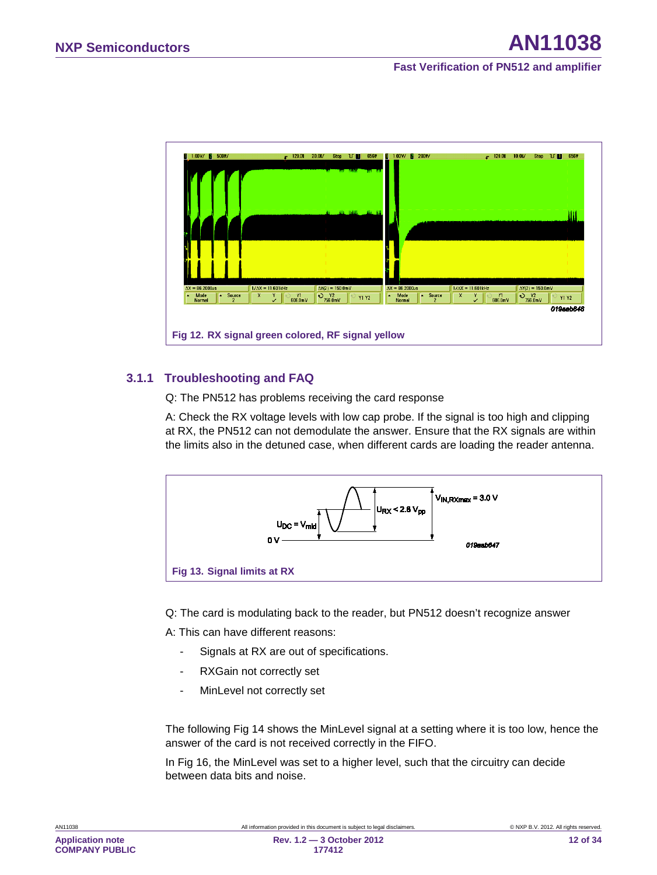

#### **3.1.1 Troubleshooting and FAQ**

<span id="page-11-0"></span>Q: The PN512 has problems receiving the card response

A: Check the RX voltage levels with low cap probe. If the signal is too high and clipping at RX, the PN512 can not demodulate the answer. Ensure that the RX signals are within the limits also in the detuned case, when different cards are loading the reader antenna.



Q: The card is modulating back to the reader, but PN512 doesn't recognize answer

A: This can have different reasons:

- Signals at RX are out of specifications.
- RXGain not correctly set
- MinLevel not correctly set

The following [Fig 14](#page-12-0) shows the MinLevel signal at a setting where it is too low, hence the answer of the card is not received correctly in the FIFO.

In [Fig 16,](#page-13-0) the MinLevel was set to a higher level, such that the circuitry can decide between data bits and noise.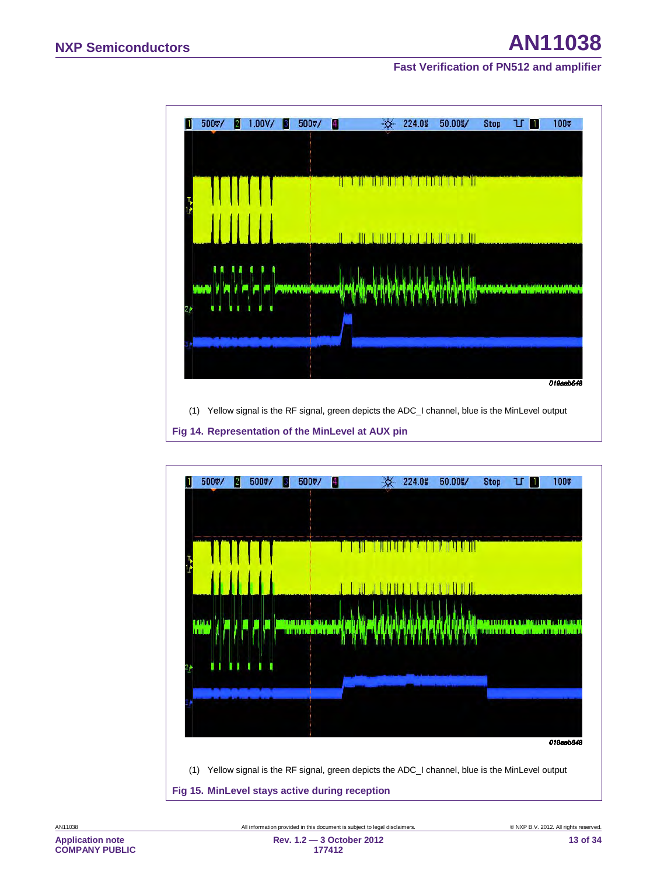

<span id="page-12-0"></span>

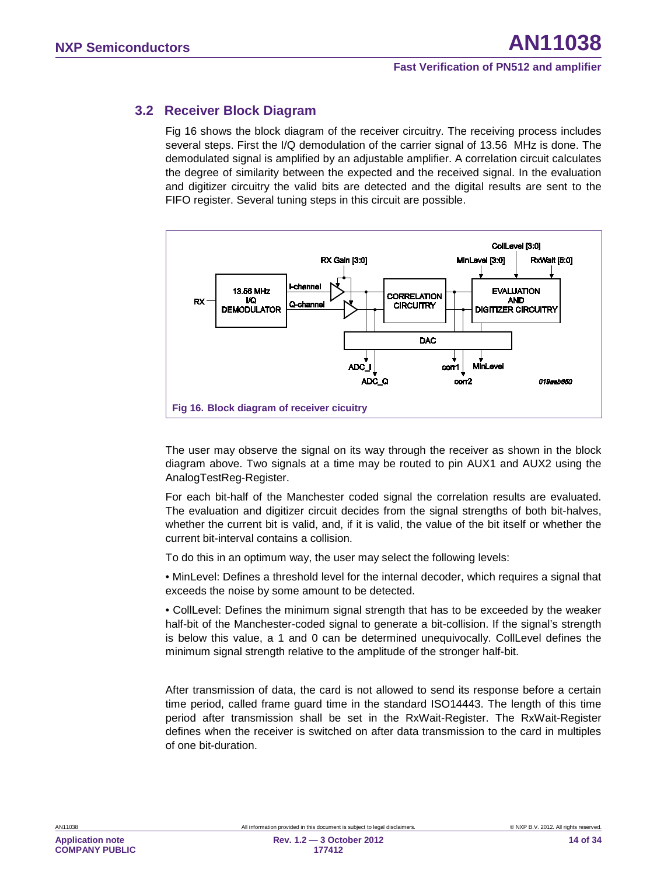### **3.2 Receiver Block Diagram**

<span id="page-13-1"></span>[Fig 16](#page-13-0) shows the block diagram of the receiver circuitry. The receiving process includes several steps. First the I/Q demodulation of the carrier signal of 13.56 MHz is done. The demodulated signal is amplified by an adjustable amplifier. A correlation circuit calculates the degree of similarity between the expected and the received signal. In the evaluation and digitizer circuitry the valid bits are detected and the digital results are sent to the FIFO register. Several tuning steps in this circuit are possible.



<span id="page-13-0"></span>The user may observe the signal on its way through the receiver as shown in the block diagram above. Two signals at a time may be routed to pin AUX1 and AUX2 using the AnalogTestReg-Register.

For each bit-half of the Manchester coded signal the correlation results are evaluated. The evaluation and digitizer circuit decides from the signal strengths of both bit-halves, whether the current bit is valid, and, if it is valid, the value of the bit itself or whether the current bit-interval contains a collision.

To do this in an optimum way, the user may select the following levels:

• MinLevel: Defines a threshold level for the internal decoder, which requires a signal that exceeds the noise by some amount to be detected.

• CollLevel: Defines the minimum signal strength that has to be exceeded by the weaker half-bit of the Manchester-coded signal to generate a bit-collision. If the signal's strength is below this value, a 1 and 0 can be determined unequivocally. CollLevel defines the minimum signal strength relative to the amplitude of the stronger half-bit.

After transmission of data, the card is not allowed to send its response before a certain time period, called frame guard time in the standard ISO14443. The length of this time period after transmission shall be set in the RxWait-Register. The RxWait-Register defines when the receiver is switched on after data transmission to the card in multiples of one bit-duration.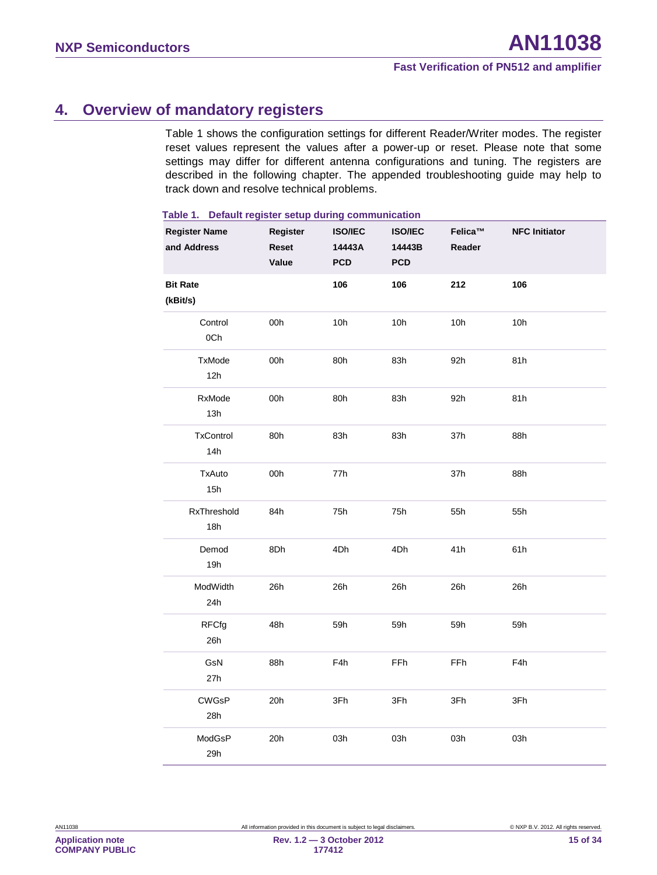# <span id="page-14-1"></span>**4. Overview of mandatory registers**

[Table 1](#page-14-0) shows the configuration settings for different Reader/Writer modes. The register reset values represent the values after a power-up or reset. Please note that some settings may differ for different antenna configurations and tuning. The registers are described in the following chapter. The appended troubleshooting guide may help to track down and resolve technical problems.

| <b>Register Name</b><br>and Address | Register<br>Reset<br>Value | <b>ISO/IEC</b><br>14443A<br><b>PCD</b> | <b>ISO/IEC</b><br>14443B<br><b>PCD</b> | Felica™<br>Reader | <b>NFC Initiator</b> |
|-------------------------------------|----------------------------|----------------------------------------|----------------------------------------|-------------------|----------------------|
| <b>Bit Rate</b><br>(kBit/s)         |                            | 106                                    | 106                                    | 212               | 106                  |
| Control<br>0Ch                      | 00h                        | 10h                                    | 10h                                    | 10h               | 10h                  |
| TxMode<br>12h                       | 00h                        | 80h                                    | 83h                                    | 92h               | 81h                  |
| RxMode<br>13h                       | 00h                        | 80h                                    | 83h                                    | 92h               | 81h                  |
| TxControl<br>14h                    | 80h                        | 83h                                    | 83h                                    | 37h               | 88h                  |
| TxAuto<br>15h                       | 00h                        | 77h                                    |                                        | 37h               | 88h                  |
| RxThreshold<br>18h                  | 84h                        | 75h                                    | 75h                                    | 55h               | 55h                  |
| Demod<br>19h                        | 8Dh                        | 4Dh                                    | 4Dh                                    | 41h               | 61h                  |
| ModWidth<br>24h                     | 26h                        | 26h                                    | 26h                                    | 26h               | 26h                  |
| <b>RFCfg</b><br>26h                 | 48h                        | 59h                                    | 59h                                    | 59h               | 59h                  |
| GsN<br>27h                          | 88h                        | F4h                                    | <b>FFh</b>                             | FFh               | F4h                  |
| <b>CWGsP</b><br>28h                 | 20h                        | 3Fh                                    | 3Fh                                    | 3Fh               | 3Fh                  |
| ModGsP<br>29h                       | 20h                        | 03h                                    | 03h                                    | 03h               | 03h                  |

#### <span id="page-14-0"></span>**Table 1. Default register setup during communication**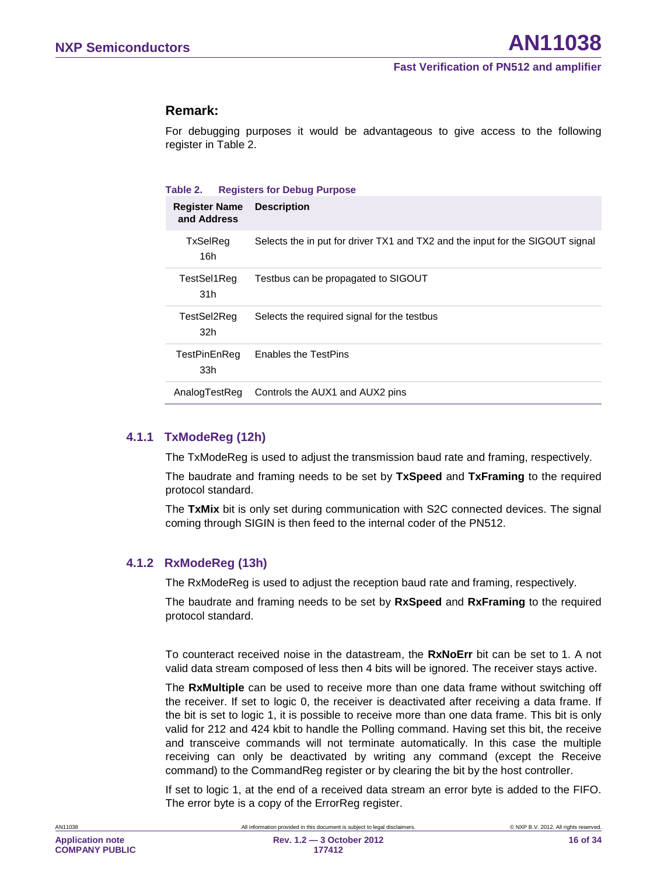#### **Remark:**

For debugging purposes it would be advantageous to give access to the following register in [Table 2.](#page-15-0)

#### <span id="page-15-0"></span>**Table 2. Registers for Debug Purpose**

| <b>Register Name</b><br>and Address | <b>Description</b>                                                            |
|-------------------------------------|-------------------------------------------------------------------------------|
| <b>TxSelReg</b><br>16h              | Selects the in put for driver TX1 and TX2 and the input for the SIGOUT signal |
| TestSel1Req<br>31 <sub>h</sub>      | Testbus can be propagated to SIGOUT                                           |
| TestSel2Req<br>32h                  | Selects the required signal for the testbus                                   |
| TestPinEnReg<br>33h                 | <b>Enables the TestPins</b>                                                   |
| AnalogTestReg                       | Controls the AUX1 and AUX2 pins                                               |

#### **4.1.1 TxModeReg (12h)**

<span id="page-15-1"></span>The TxModeReg is used to adjust the transmission baud rate and framing, respectively.

The baudrate and framing needs to be set by **TxSpeed** and **TxFraming** to the required protocol standard.

The **TxMix** bit is only set during communication with S2C connected devices. The signal coming through SIGIN is then feed to the internal coder of the PN512.

#### **4.1.2 RxModeReg (13h)**

<span id="page-15-2"></span>The RxModeReg is used to adjust the reception baud rate and framing, respectively.

The baudrate and framing needs to be set by **RxSpeed** and **RxFraming** to the required protocol standard.

To counteract received noise in the datastream, the **RxNoErr** bit can be set to 1. A not valid data stream composed of less then 4 bits will be ignored. The receiver stays active.

The **RxMultiple** can be used to receive more than one data frame without switching off the receiver. If set to logic 0, the receiver is deactivated after receiving a data frame. If the bit is set to logic 1, it is possible to receive more than one data frame. This bit is only valid for 212 and 424 kbit to handle the Polling command. Having set this bit, the receive and transceive commands will not terminate automatically. In this case the multiple receiving can only be deactivated by writing any command (except the Receive command) to the CommandReg register or by clearing the bit by the host controller.

If set to logic 1, at the end of a received data stream an error byte is added to the FIFO. The error byte is a copy of the ErrorReg register.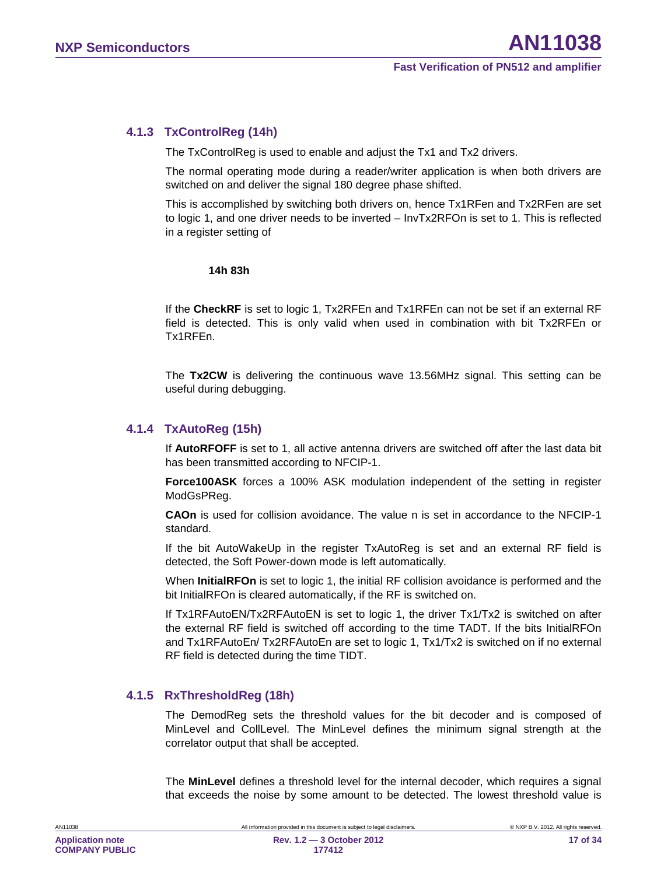#### **4.1.3 TxControlReg (14h)**

<span id="page-16-0"></span>The TxControlReg is used to enable and adjust the Tx1 and Tx2 drivers.

The normal operating mode during a reader/writer application is when both drivers are switched on and deliver the signal 180 degree phase shifted.

This is accomplished by switching both drivers on, hence Tx1RFen and Tx2RFen are set to logic 1, and one driver needs to be inverted – InvTx2RFOn is set to 1. This is reflected in a register setting of

#### **14h 83h**

If the **CheckRF** is set to logic 1, Tx2RFEn and Tx1RFEn can not be set if an external RF field is detected. This is only valid when used in combination with bit Tx2RFEn or Tx1RFEn.

The **Tx2CW** is delivering the continuous wave 13.56MHz signal. This setting can be useful during debugging.

#### **4.1.4 TxAutoReg (15h)**

<span id="page-16-1"></span>If **AutoRFOFF** is set to 1, all active antenna drivers are switched off after the last data bit has been transmitted according to NFCIP-1.

**Force100ASK** forces a 100% ASK modulation independent of the setting in register ModGsPReg.

**CAOn** is used for collision avoidance. The value n is set in accordance to the NFCIP-1 standard.

If the bit AutoWakeUp in the register TxAutoReg is set and an external RF field is detected, the Soft Power-down mode is left automatically.

When **InitialRFOn** is set to logic 1, the initial RF collision avoidance is performed and the bit InitialRFOn is cleared automatically, if the RF is switched on.

If Tx1RFAutoEN/Tx2RFAutoEN is set to logic 1, the driver Tx1/Tx2 is switched on after the external RF field is switched off according to the time TADT. If the bits InitialRFOn and Tx1RFAutoEn/ Tx2RFAutoEn are set to logic 1, Tx1/Tx2 is switched on if no external RF field is detected during the time TIDT.

#### **4.1.5 RxThresholdReg (18h)**

<span id="page-16-2"></span>The DemodReg sets the threshold values for the bit decoder and is composed of MinLevel and CollLevel. The MinLevel defines the minimum signal strength at the correlator output that shall be accepted.

The **MinLevel** defines a threshold level for the internal decoder, which requires a signal that exceeds the noise by some amount to be detected. The lowest threshold value is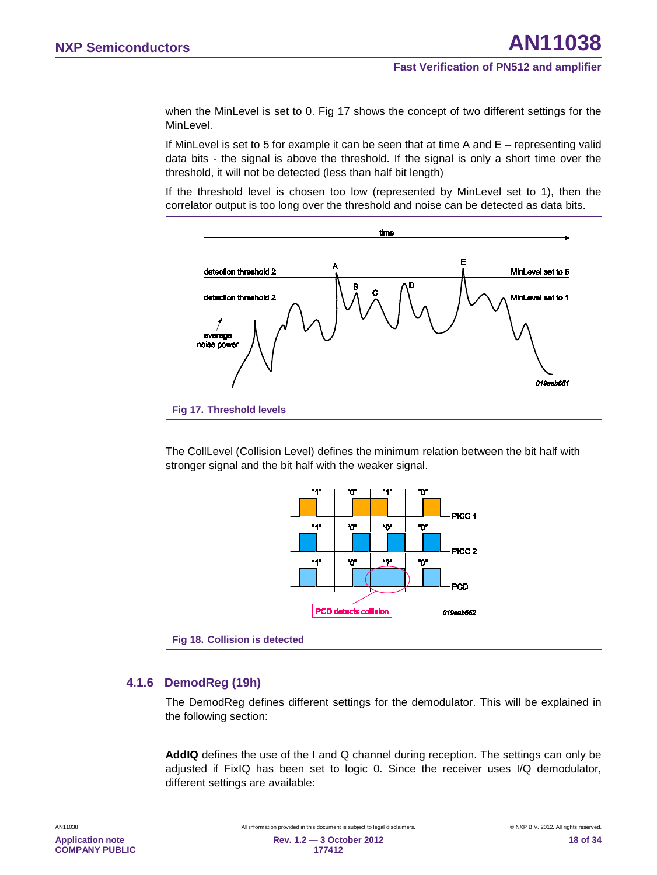when the MinLevel is set to 0. [Fig 17](#page-17-0) shows the concept of two different settings for the MinLevel.

If MinLevel is set to 5 for example it can be seen that at time A and E – representing valid data bits - the signal is above the threshold. If the signal is only a short time over the threshold, it will not be detected (less than half bit length)

If the threshold level is chosen too low (represented by MinLevel set to 1), then the correlator output is too long over the threshold and noise can be detected as data bits.



<span id="page-17-0"></span>The CollLevel (Collision Level) defines the minimum relation between the bit half with stronger signal and the bit half with the weaker signal.



#### **4.1.6 DemodReg (19h)**

<span id="page-17-1"></span>The DemodReg defines different settings for the demodulator. This will be explained in the following section:

**AddIQ** defines the use of the I and Q channel during reception. The settings can only be adjusted if FixIQ has been set to logic 0. Since the receiver uses I/Q demodulator, different settings are available: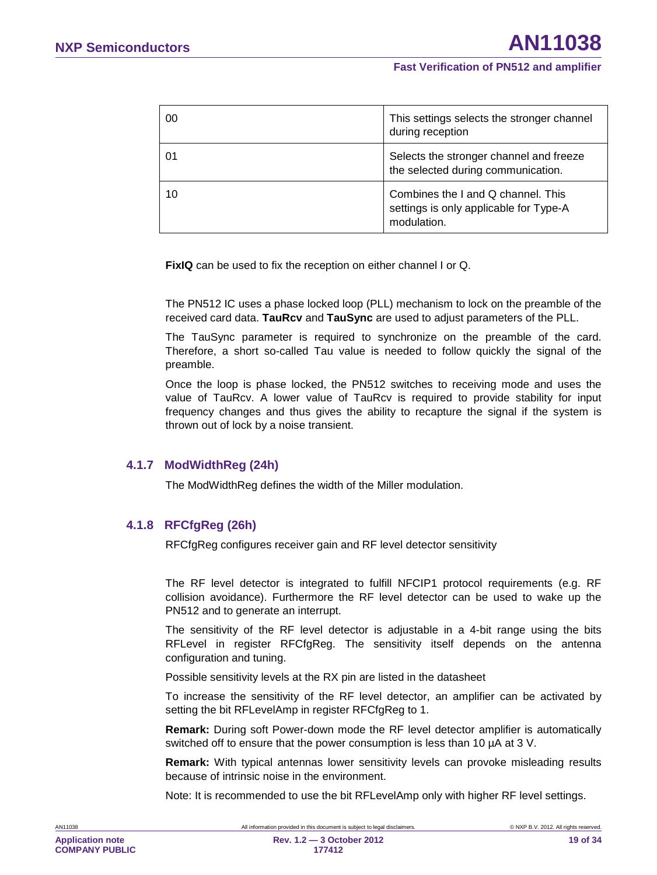| 00 | This settings selects the stronger channel<br>during reception                              |
|----|---------------------------------------------------------------------------------------------|
| 01 | Selects the stronger channel and freeze<br>the selected during communication.               |
| 10 | Combines the I and Q channel. This<br>settings is only applicable for Type-A<br>modulation. |

**FixIQ** can be used to fix the reception on either channel I or Q.

The PN512 IC uses a phase locked loop (PLL) mechanism to lock on the preamble of the received card data. **TauRcv** and **TauSync** are used to adjust parameters of the PLL.

The TauSync parameter is required to synchronize on the preamble of the card. Therefore, a short so-called Tau value is needed to follow quickly the signal of the preamble.

Once the loop is phase locked, the PN512 switches to receiving mode and uses the value of TauRcv. A lower value of TauRcv is required to provide stability for input frequency changes and thus gives the ability to recapture the signal if the system is thrown out of lock by a noise transient.

#### **4.1.7 ModWidthReg (24h)**

<span id="page-18-0"></span>The ModWidthReg defines the width of the Miller modulation.

#### **4.1.8 RFCfgReg (26h)**

<span id="page-18-1"></span>RFCfgReg configures receiver gain and RF level detector sensitivity

The RF level detector is integrated to fulfill NFCIP1 protocol requirements (e.g. RF collision avoidance). Furthermore the RF level detector can be used to wake up the PN512 and to generate an interrupt.

The sensitivity of the RF level detector is adjustable in a 4-bit range using the bits RFLevel in register RFCfgReg. The sensitivity itself depends on the antenna configuration and tuning.

Possible sensitivity levels at the RX pin are listed in the datasheet

To increase the sensitivity of the RF level detector, an amplifier can be activated by setting the bit RFLevelAmp in register RFCfgReg to 1.

**Remark:** During soft Power-down mode the RF level detector amplifier is automatically switched off to ensure that the power consumption is less than 10  $\mu$ A at 3 V.

**Remark:** With typical antennas lower sensitivity levels can provoke misleading results because of intrinsic noise in the environment.

Note: It is recommended to use the bit RFLevelAmp only with higher RF level settings.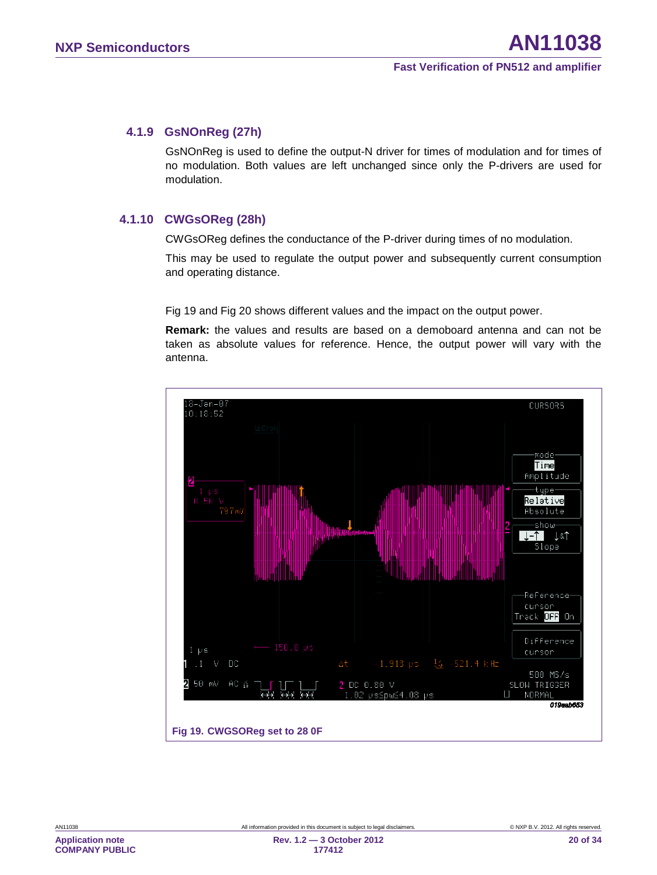#### **4.1.9 GsNOnReg (27h)**

<span id="page-19-1"></span>GsNOnReg is used to define the output-N driver for times of modulation and for times of no modulation. Both values are left unchanged since only the P-drivers are used for modulation.

#### **4.1.10 CWGsOReg (28h)**

<span id="page-19-2"></span>CWGsOReg defines the conductance of the P-driver during times of no modulation.

This may be used to regulate the output power and subsequently current consumption and operating distance.

[Fig 19](#page-19-0) and [Fig 20](#page-20-0) shows different values and the impact on the output power.

**Remark:** the values and results are based on a demoboard antenna and can not be taken as absolute values for reference. Hence, the output power will vary with the antenna.

<span id="page-19-0"></span>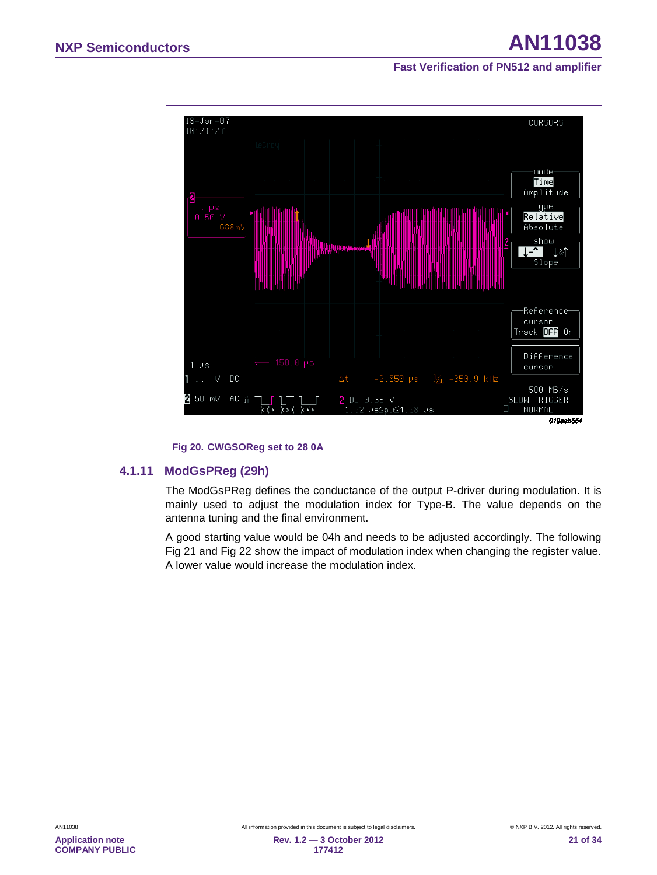

#### **4.1.11 ModGsPReg (29h)**

<span id="page-20-1"></span><span id="page-20-0"></span>The ModGsPReg defines the conductance of the output P-driver during modulation. It is mainly used to adjust the modulation index for Type-B. The value depends on the antenna tuning and the final environment.

A good starting value would be 04h and needs to be adjusted accordingly. The following [Fig 21](#page-21-0) and [Fig 22](#page-22-0) show the impact of modulation index when changing the register value. A lower value would increase the modulation index.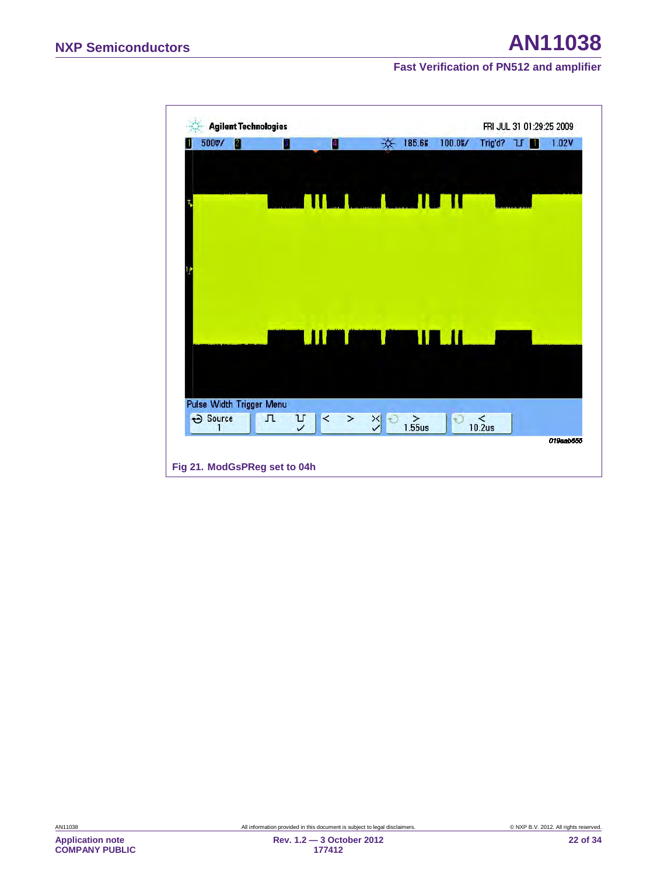<span id="page-21-0"></span>

**Application note COMPANY PUBLIC**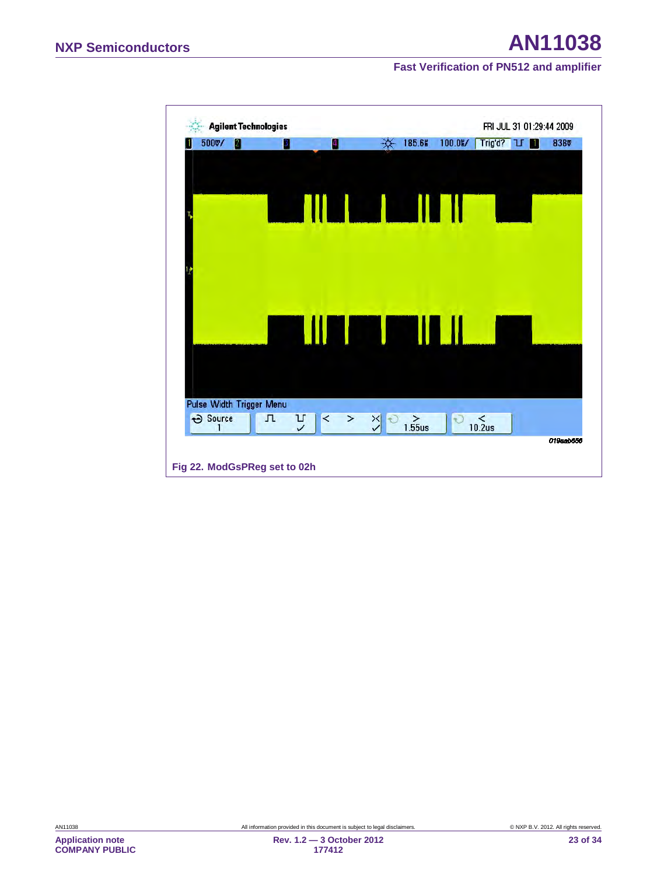<span id="page-22-0"></span>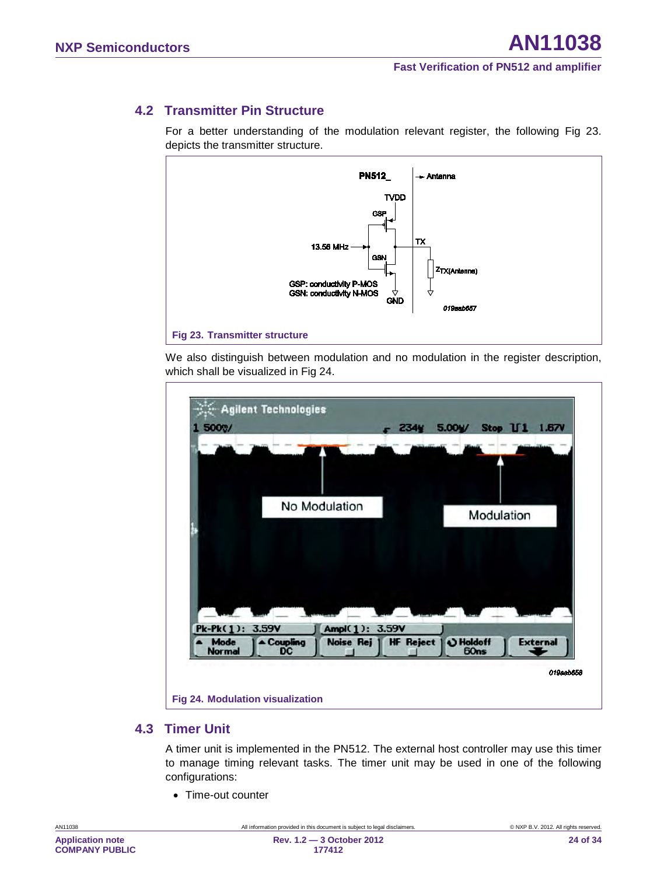# **4.2 Transmitter Pin Structure**

<span id="page-23-1"></span>For a better understanding of the modulation relevant register, the following Fig 23. depicts the transmitter structure.



We also distinguish between modulation and no modulation in the register description, which shall be visualized in [Fig 24.](#page-23-0)



#### <span id="page-23-2"></span><span id="page-23-0"></span>**4.3 Timer Unit**

A timer unit is implemented in the PN512. The external host controller may use this timer to manage timing relevant tasks. The timer unit may be used in one of the following configurations:

• Time-out counter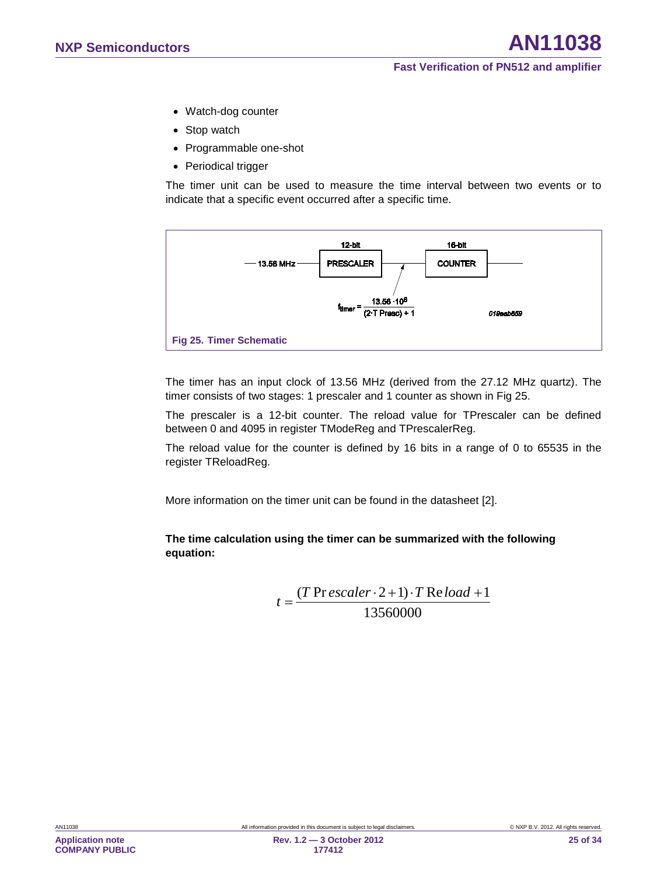- Watch-dog counter
- Stop watch
- Programmable one-shot
- Periodical trigger

The timer unit can be used to measure the time interval between two events or to indicate that a specific event occurred after a specific time.



<span id="page-24-0"></span>The timer has an input clock of 13.56 MHz (derived from the 27.12 MHz quartz). The timer consists of two stages: 1 prescaler and 1 counter as shown in [Fig 25.](#page-24-0)

The prescaler is a 12-bit counter. The reload value for TPrescaler can be defined between 0 and 4095 in register TModeReg and TPrescalerReg.

The reload value for the counter is defined by 16 bits in a range of 0 to 65535 in the register TReloadReg.

More information on the timer unit can be found in the datasheet [\[2\].](#page-31-1)

#### **The time calculation using the timer can be summarized with the following equation:**

$$
t = \frac{(T \text{ Pr } \text{escalar} \cdot 2 + 1) \cdot T \text{ Re } \text{load} + 1}{13560000}
$$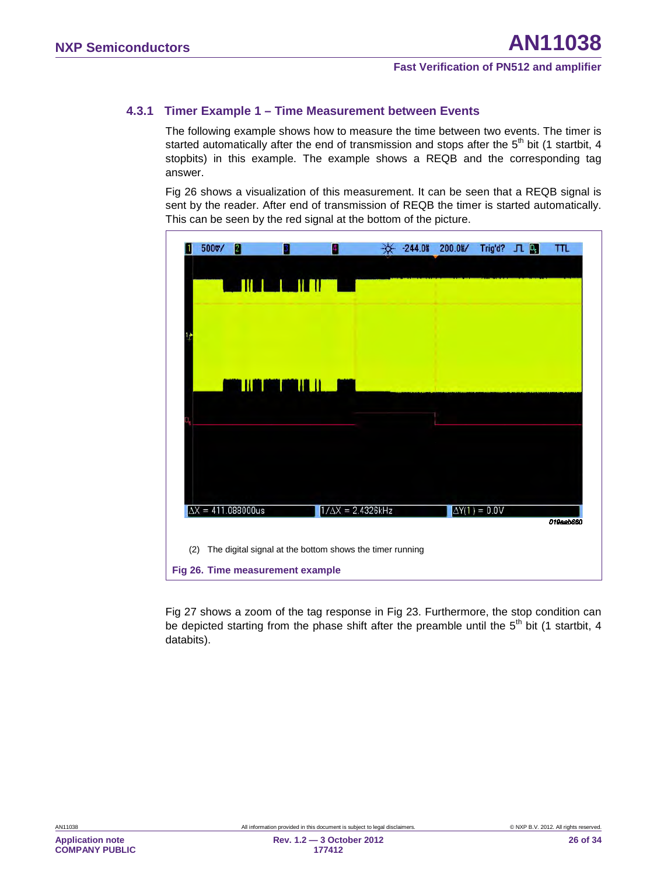#### **4.3.1 Timer Example 1 – Time Measurement between Events**

<span id="page-25-1"></span>The following example shows how to measure the time between two events. The timer is started automatically after the end of transmission and stops after the  $5<sup>th</sup>$  bit (1 startbit, 4 stopbits) in this example. The example shows a REQB and the corresponding tag answer.

[Fig 26](#page-25-0) shows a visualization of this measurement. It can be seen that a REQB signal is sent by the reader. After end of transmission of REQB the timer is started automatically. This can be seen by the red signal at the bottom of the picture.

| 500v/ | 21                                                                                           | 3<br><u> Linder Hall</u> |                          | $-244.08$ | $200.0$ % | Trig'd? JL           | $\vert \vert D_5 \vert$ | TTL       |
|-------|----------------------------------------------------------------------------------------------|--------------------------|--------------------------|-----------|-----------|----------------------|-------------------------|-----------|
|       |                                                                                              | <u> HAMMU HI</u>         |                          |           |           |                      |                         |           |
|       |                                                                                              |                          |                          |           |           |                      |                         |           |
|       | $\Delta X = 411.088000$ us                                                                   |                          | $1/\Delta X = 2.4326kHz$ |           |           | $\Delta Y(1) = 0.0V$ |                         | 019aab660 |
| (2)   | The digital signal at the bottom shows the timer running<br>Fig 26. Time measurement example |                          |                          |           |           |                      |                         |           |

<span id="page-25-0"></span>[Fig 27](#page-26-0) shows a zoom of the tag response in Fig 23. Furthermore, the stop condition can be depicted starting from the phase shift after the preamble until the  $5<sup>th</sup>$  bit (1 startbit, 4 databits).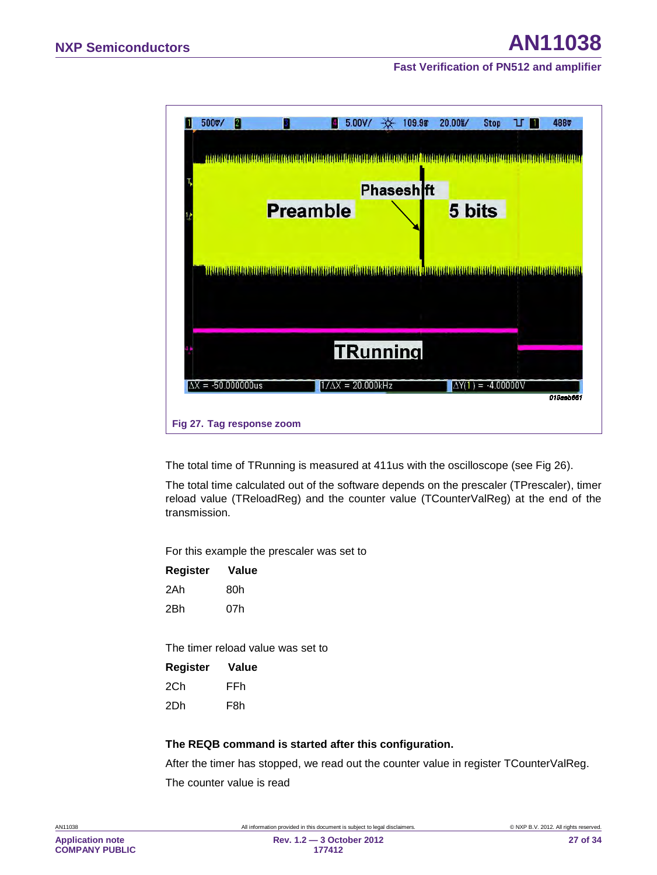

<span id="page-26-0"></span>The total time of TRunning is measured at 411us with the oscilloscope (see [Fig 26\)](#page-25-0).

The total time calculated out of the software depends on the prescaler (TPrescaler), timer reload value (TReloadReg) and the counter value (TCounterValReg) at the end of the transmission.

For this example the prescaler was set to

| Register | Value |
|----------|-------|
| 2Ah      | 80h   |
| 2Bh      | 07h   |

The timer reload value was set to

| <b>Register</b> | Value |
|-----------------|-------|
| 2C.h            | FFh   |
| 2Dh             | F8h   |

#### **The REQB command is started after this configuration.**

After the timer has stopped, we read out the counter value in register TCounterValReg. The counter value is read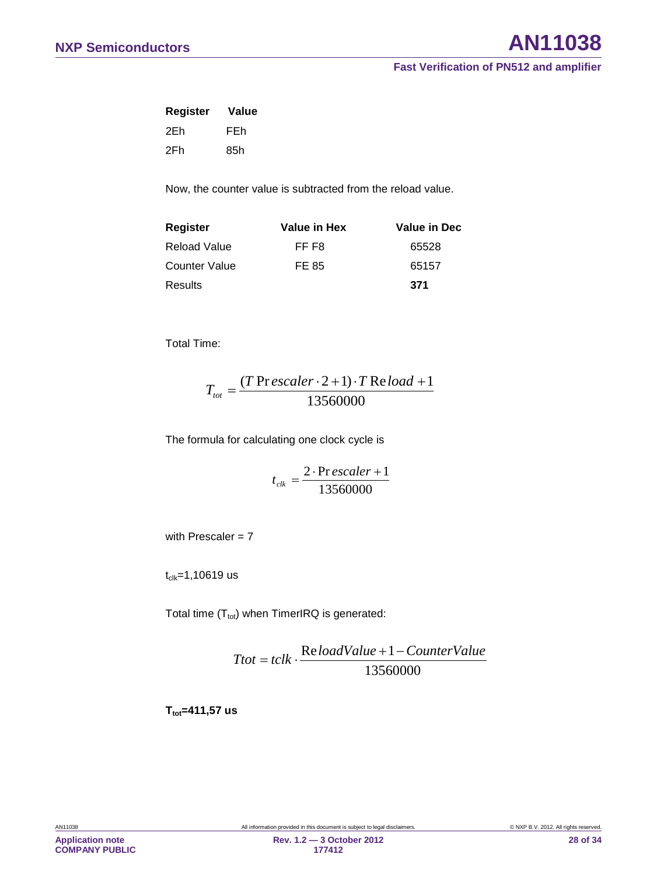| <b>Register</b> | Value |
|-----------------|-------|
| 2Eh             | FEh   |
| 2Fh             | 85h   |

Now, the counter value is subtracted from the reload value.

| <b>Register</b>      | Value in Hex | <b>Value in Dec</b> |
|----------------------|--------------|---------------------|
| Reload Value         | FF F8        | 65528               |
| <b>Counter Value</b> | FE 85        | 65157               |
| Results              |              | 371                 |

Total Time:

$$
T_{tot} = \frac{(T \text{Pr} \, \text{ex} \, \text{caler} \cdot 2 + 1) \cdot T \text{Re} \, \text{load} + 1}{13560000}
$$

The formula for calculating one clock cycle is

13560000  $t_{ck} = \frac{2 \cdot \text{Pr} \, \text{escalar} + 1}{12560000}$ 

with Prescaler  $= 7$ 

 $t_{\text{clk}} = 1,10619$  us

Total time  $(T_{\text{tot}})$  when TimerIRQ is generated:

13560000  $Ttot = tclk \cdot \frac{ReloadValue + 1 - CounterValue}{1255000}$ 

**T**<sub>tot</sub>=411,57 us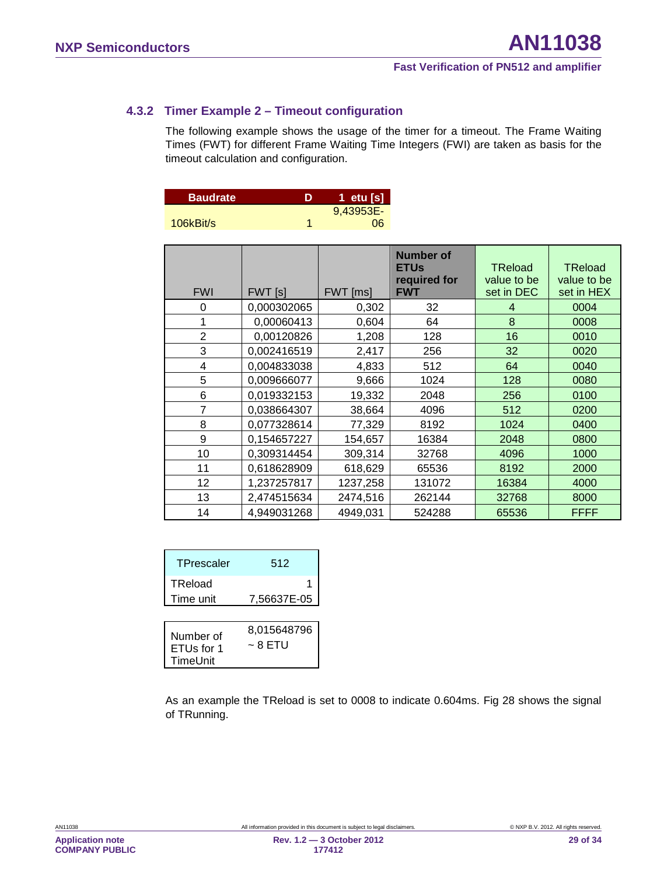#### **4.3.2 Timer Example 2 – Timeout configuration**

<span id="page-28-0"></span>The following example shows the usage of the timer for a timeout. The Frame Waiting Times (FWT) for different Frame Waiting Time Integers (FWI) are taken as basis for the timeout calculation and configuration.

| <b>Baudrate</b> | D | '1  etu [s], |
|-----------------|---|--------------|
|                 |   | 9,43953E-    |
| $106$ kBit/s    |   | 06           |

| <b>FWI</b>     | FWT [s]     | FWT [ms] | <b>Number of</b><br><b>ETUs</b><br>required for<br><b>FWT</b> | <b>TReload</b><br>value to be<br>set in DEC | <b>TReload</b><br>value to be<br>set in HEX |
|----------------|-------------|----------|---------------------------------------------------------------|---------------------------------------------|---------------------------------------------|
| 0              | 0,000302065 | 0,302    | 32                                                            | 4                                           | 0004                                        |
| 1              | 0.00060413  | 0,604    | 64                                                            | 8                                           | 0008                                        |
| $\overline{2}$ | 0,00120826  | 1,208    | 128                                                           | 16                                          | 0010                                        |
| 3              | 0,002416519 | 2,417    | 256                                                           | 32                                          | 0020                                        |
| 4              | 0,004833038 | 4,833    | 512                                                           | 64                                          | 0040                                        |
| 5              | 0,009666077 | 9,666    | 1024                                                          | 128                                         | 0080                                        |
| 6              | 0,019332153 | 19,332   | 2048                                                          | 256                                         | 0100                                        |
| $\overline{7}$ | 0,038664307 | 38,664   | 4096                                                          | 512                                         | 0200                                        |
| 8              | 0,077328614 | 77,329   | 8192                                                          | 1024                                        | 0400                                        |
| 9              | 0,154657227 | 154,657  | 16384                                                         | 2048                                        | 0800                                        |
| 10             | 0,309314454 | 309,314  | 32768                                                         | 4096                                        | 1000                                        |
| 11             | 0,618628909 | 618,629  | 65536                                                         | 8192                                        | 2000                                        |
| 12             | 1,237257817 | 1237,258 | 131072                                                        | 16384                                       | 4000                                        |
| 13             | 2,474515634 | 2474,516 | 262144                                                        | 32768                                       | 8000                                        |
| 14             | 4,949031268 | 4949,031 | 524288                                                        | 65536                                       | <b>FFFF</b>                                 |

| 512         |
|-------------|
|             |
| 7,56637E-05 |
|             |

|                                     | 8,015648796 |  |
|-------------------------------------|-------------|--|
| Number of<br>ETUs for 1<br>TimeUnit | ~ 8 ETU     |  |
|                                     |             |  |

As an example the TReload is set to 0008 to indicate 0.604ms. [Fig 28](#page-29-0) shows the signal of TRunning.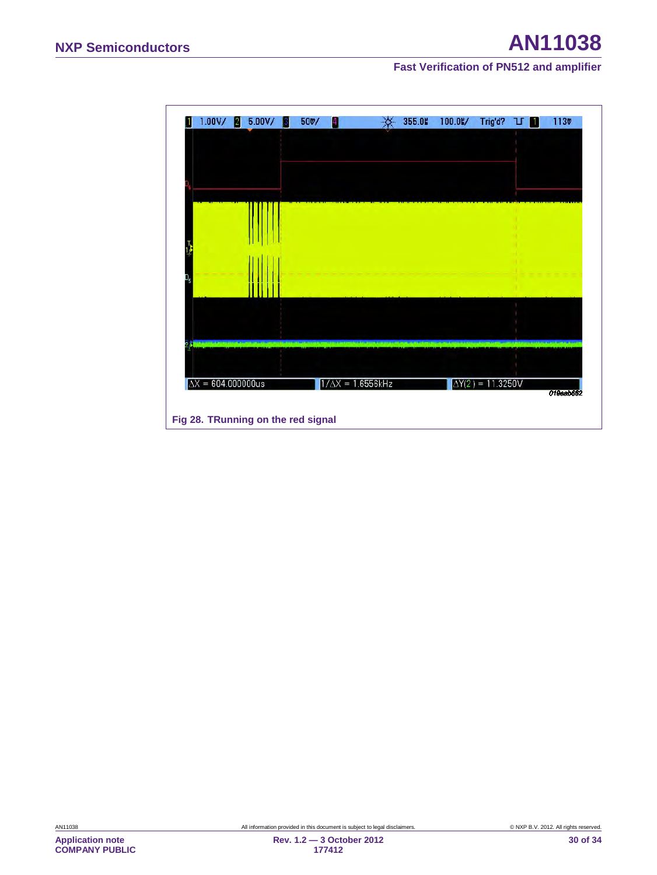<span id="page-29-0"></span>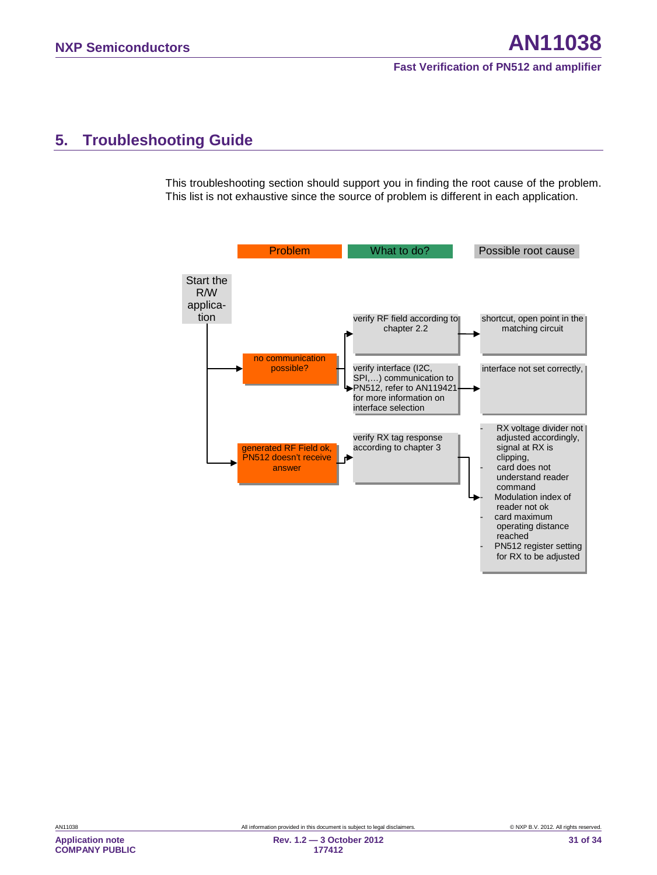# <span id="page-30-0"></span>**5. Troubleshooting Guide**

This troubleshooting section should support you in finding the root cause of the problem. This list is not exhaustive since the source of problem is different in each application.



**Application note COMPANY PUBLIC**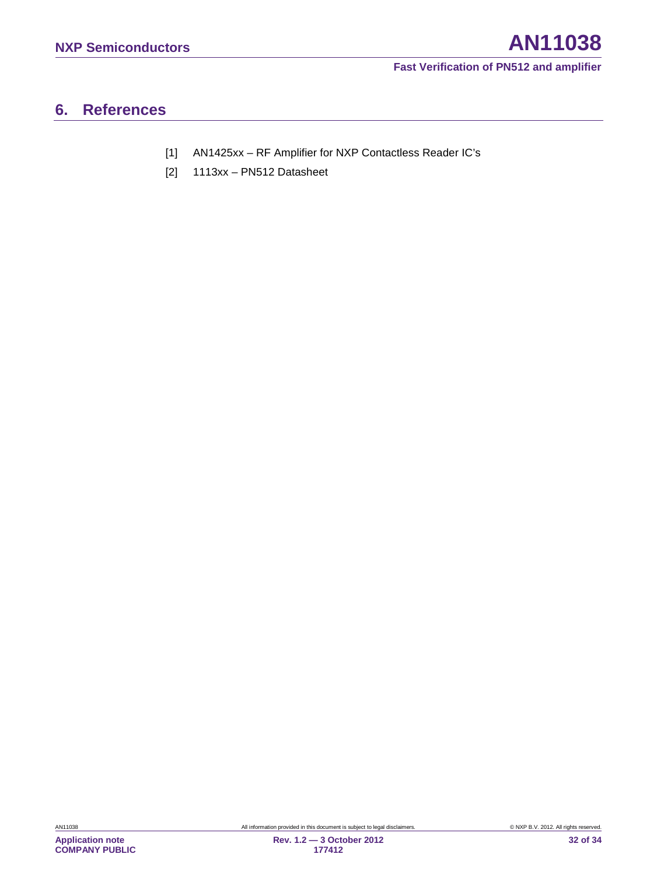# <span id="page-31-2"></span>**6. References**

- <span id="page-31-0"></span>[1] AN1425xx – RF Amplifier for NXP Contactless Reader IC's
- <span id="page-31-1"></span>[2] 1113xx – PN512 Datasheet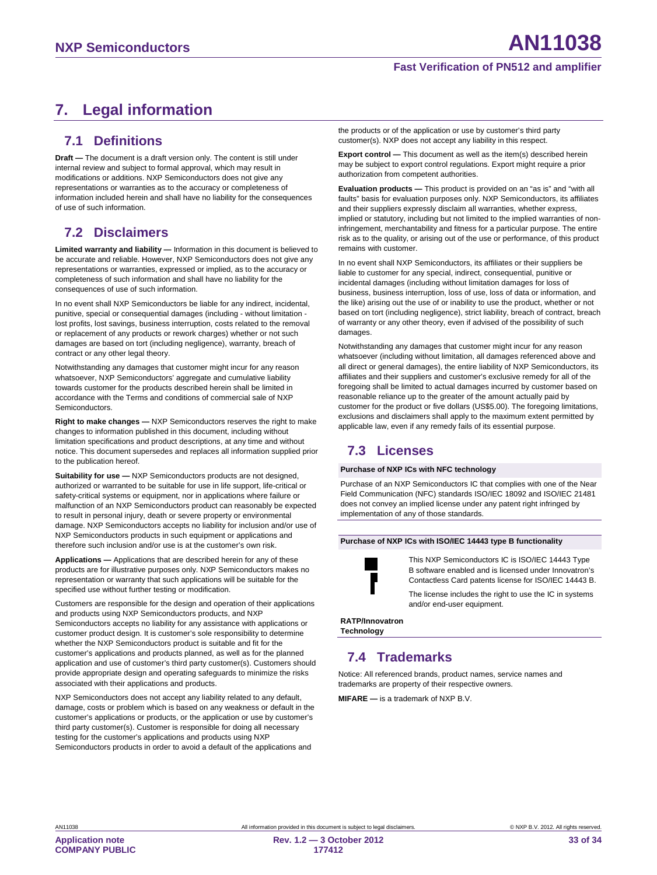# <span id="page-32-0"></span>**7. Legal information**

#### <span id="page-32-1"></span>**7.1 Definitions**

**Draft —** The document is a draft version only. The content is still under internal review and subject to formal approval, which may result in modifications or additions. NXP Semiconductors does not give any representations or warranties as to the accuracy or completeness of information included herein and shall have no liability for the consequences of use of such information.

# <span id="page-32-2"></span>**7.2 Disclaimers**

<span id="page-32-3"></span>**Limited warranty and liability —** Information in this document is believed to be accurate and reliable. However, NXP Semiconductors does not give any representations or warranties, expressed or implied, as to the accuracy or completeness of such information and shall have no liability for the consequences of use of such information.

In no event shall NXP Semiconductors be liable for any indirect, incidental, punitive, special or consequential damages (including - without limitation lost profits, lost savings, business interruption, costs related to the removal or replacement of any products or rework charges) whether or not such damages are based on tort (including negligence), warranty, breach of contract or any other legal theory.

Notwithstanding any damages that customer might incur for any reason whatsoever, NXP Semiconductors' aggregate and cumulative liability towards customer for the products described herein shall be limited in accordance with the Terms and conditions of commercial sale of NXP **Semiconductors** 

**Right to make changes —** NXP Semiconductors reserves the right to make changes to information published in this document, including without limitation specifications and product descriptions, at any time and without notice. This document supersedes and replaces all information supplied prior to the publication hereof.

**Suitability for use —** NXP Semiconductors products are not designed, authorized or warranted to be suitable for use in life support, life-critical or safety-critical systems or equipment, nor in applications where failure or malfunction of an NXP Semiconductors product can reasonably be expected to result in personal injury, death or severe property or environmental damage. NXP Semiconductors accepts no liability for inclusion and/or use of NXP Semiconductors products in such equipment or applications and therefore such inclusion and/or use is at the customer's own risk.

**Applications —** Applications that are described herein for any of these products are for illustrative purposes only. NXP Semiconductors makes no representation or warranty that such applications will be suitable for the specified use without further testing or modification.

Customers are responsible for the design and operation of their applications and products using NXP Semiconductors products, and NXP Semiconductors accepts no liability for any assistance with applications or customer product design. It is customer's sole responsibility to determine whether the NXP Semiconductors product is suitable and fit for the customer's applications and products planned, as well as for the planned application and use of customer's third party customer(s). Customers should provide appropriate design and operating safeguards to minimize the risks associated with their applications and products.

NXP Semiconductors does not accept any liability related to any default, damage, costs or problem which is based on any weakness or default in the customer's applications or products, or the application or use by customer's third party customer(s). Customer is responsible for doing all necessary testing for the customer's applications and products using NXP Semiconductors products in order to avoid a default of the applications and

the products or of the application or use by customer's third party customer(s). NXP does not accept any liability in this respect.

**Export control —** This document as well as the item(s) described herein may be subject to export control regulations. Export might require a prior authorization from competent authorities.

**Evaluation products —** This product is provided on an "as is" and "with all faults" basis for evaluation purposes only. NXP Semiconductors, its affiliates and their suppliers expressly disclaim all warranties, whether express, implied or statutory, including but not limited to the implied warranties of noninfringement, merchantability and fitness for a particular purpose. The entire risk as to the quality, or arising out of the use or performance, of this product remains with customer.

In no event shall NXP Semiconductors, its affiliates or their suppliers be liable to customer for any special, indirect, consequential, punitive or incidental damages (including without limitation damages for loss of business, business interruption, loss of use, loss of data or information, and the like) arising out the use of or inability to use the product, whether or not based on tort (including negligence), strict liability, breach of contract, breach of warranty or any other theory, even if advised of the possibility of such damages.

Notwithstanding any damages that customer might incur for any reason whatsoever (including without limitation, all damages referenced above and all direct or general damages), the entire liability of NXP Semiconductors, its affiliates and their suppliers and customer's exclusive remedy for all of the foregoing shall be limited to actual damages incurred by customer based on reasonable reliance up to the greater of the amount actually paid by customer for the product or five dollars (US\$5.00). The foregoing limitations, exclusions and disclaimers shall apply to the maximum extent permitted by applicable law, even if any remedy fails of its essential purpose.

# **7.3 Licenses**

#### **Purchase of NXP ICs with NFC technology**

Purchase of an NXP Semiconductors IC that complies with one of the Near Field Communication (NFC) standards ISO/IEC 18092 and ISO/IEC 21481 does not convey an implied license under any patent right infringed by implementation of any of those standards.

#### **Purchase of NXP ICs with ISO/IEC 14443 type B functionality**



This NXP Semiconductors IC is ISO/IEC 14443 Type B software enabled and is licensed under Innovatron's Contactless Card patents license for ISO/IEC 14443 B.

The license includes the right to use the IC in systems and/or end-user equipment.

**RATP/Innovatron Technology**

# <span id="page-32-4"></span>**7.4 Trademarks**

Notice: All referenced brands, product names, service names and trademarks are property of their respective owners.

**MIFARE —** is a trademark of NXP B.V.

**Application note COMPANY PUBLIC**